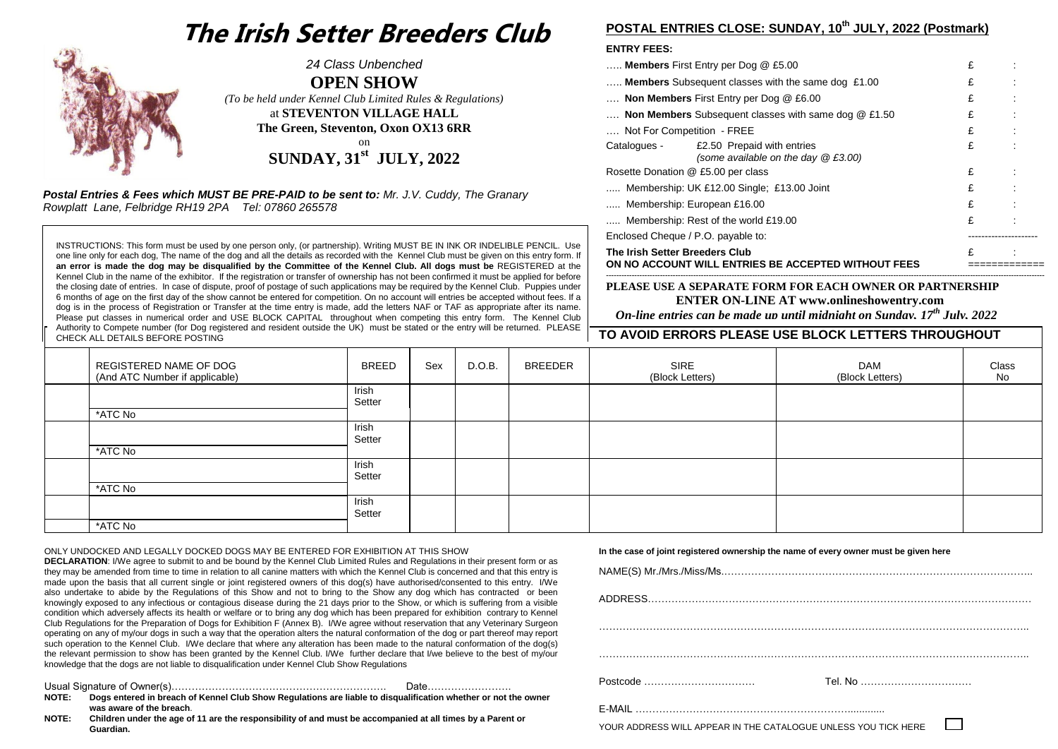# **The Irish Setter Breeders Club**



*24 Class Unbenched* **OPEN SHOW** *(To be held under Kennel Club Limited Rules & Regulations)* at **STEVENTON VILLAGE HALL The Green, Steventon, Oxon OX13 6RR** on **SUNDAY, 31st JULY, 2022**

 *Postal Entries & Fees which MUST BE PRE-PAID to be sent to: Mr. J.V. Cuddy, The Granary Rowplatt Lane, Felbridge RH19 2PA Tel: 07860 265578*

INSTRUCTIONS: This form must be used by one person only, (or partnership). Writing MUST BE IN INK OR INDELIBLE PENCIL. Use one line only for each dog, The name of the dog and all the details as recorded with the Kennel Club must be given on this entry form. If **an error is made the dog may be disqualified by the Committee of the Kennel Club. All dogs must be** REGISTERED at the Kennel Club in the name of the exhibitor. If the registration or transfer of ownership has not been confirmed it must be applied for before the closing date of entries. In case of dispute, proof of postage of such applications may be required by the Kennel Club. Puppies under 6 months of age on the first day of the show cannot be entered for competition. On no account will entries be accepted without fees. If a dog is in the process of Registration or Transfer at the time entry is made, add the letters NAF or TAF as appropriate after its name. Please put classes in numerical order and USE BLOCK CAPITAL throughout when competing this entry form. The Kennel Club Authority to Compete number (for Dog registered and resident outside the UK) must be stated or the entry will be returned. PLEASE CHECK ALL DETAILS BEFORE POSTING

# **POSTAL ENTRIES CLOSE: SUNDAY, 10 th JULY, 2022 (Postmark)**

#### **ENTRY FEES:**

| ON NO ACCOUNT WILL ENTRIES BE ACCEPTED WITHOUT FEES          |                                                                                  |   |  |
|--------------------------------------------------------------|----------------------------------------------------------------------------------|---|--|
| The Irish Setter Breeders Club                               | £                                                                                |   |  |
| Enclosed Cheque / P.O. payable to:                           |                                                                                  |   |  |
|                                                              | Membership: Rest of the world £19.00                                             | £ |  |
| Membership: European £16.00                                  | £                                                                                |   |  |
| Membership: UK £12.00 Single; £13.00 Joint                   | £                                                                                |   |  |
| Rosette Donation @ £5.00 per class                           | £                                                                                |   |  |
|                                                              | Catalogues - £2.50 Prepaid with entries<br>(some available on the day $@E3.00$ ) | £ |  |
| Not For Competition - FREE                                   | £                                                                                |   |  |
| <b>Non Members</b> Subsequent classes with same dog $@E1.50$ | £                                                                                |   |  |
| Non Members First Entry per Dog @ £6.00                      | £                                                                                |   |  |
| Members Subsequent classes with the same dog £1.00           | £                                                                                |   |  |
| <b>Members</b> First Entry per Dog $@$ £5.00                 | £                                                                                |   |  |
|                                                              |                                                                                  |   |  |

#### **--------------------------------------------------------------------------------------------------------------------------------------------------------------------------- PLEASE USE A SEPARATE FORM FOR EACH OWNER OR PARTNERSHIP ENTER ON-LINE AT www.onlineshowentry.com**

 **TO AVOID ERRORS PLEASE USE BLOCK LETTERS THROUGHOUT**  *On-line entries can be made up until midnight on Sunday, 17 th July, 2022*

| <b>OTILOIS ALL DETAILS DET ORE TOOTING</b><br>____       |                 |     |        |                |                         |                        |             |
|----------------------------------------------------------|-----------------|-----|--------|----------------|-------------------------|------------------------|-------------|
| REGISTERED NAME OF DOG<br>(And ATC Number if applicable) | BREED           | Sex | D.O.B. | <b>BREEDER</b> | SIRE<br>(Block Letters) | DAM<br>(Block Letters) | Class<br>No |
|                                                          | Irish<br>Setter |     |        |                |                         |                        |             |
| *ATC No                                                  |                 |     |        |                |                         |                        |             |
|                                                          | Irish<br>Setter |     |        |                |                         |                        |             |
| *ATC No                                                  | Irish           |     |        |                |                         |                        |             |
|                                                          | Setter          |     |        |                |                         |                        |             |
| *ATC No                                                  |                 |     |        |                |                         |                        |             |
|                                                          | Irish<br>Setter |     |        |                |                         |                        |             |
| *ATC No                                                  |                 |     |        |                |                         |                        |             |

ONLY UNDOCKED AND LEGALLY DOCKED DOGS MAY BE ENTERED FOR EXHIBITION AT THIS SHOW

**DECLARATION**: I/We agree to submit to and be bound by the Kennel Club Limited Rules and Regulations in their present form or as they may be amended from time to time in relation to all canine matters with which the Kennel Club is concerned and that this entry is made upon the basis that all current single or joint registered owners of this dog(s) have authorised/consented to this entry. I/We also undertake to abide by the Regulations of this Show and not to bring to the Show any dog which has contracted or been knowingly exposed to any infectious or contagious disease during the 21 days prior to the Show, or which is suffering from a visible condition which adversely affects its health or welfare or to bring any dog which has been prepared for exhibition contrary to Kennel Club Regulations for the Preparation of Dogs for Exhibition F (Annex B). I/We agree without reservation that any Veterinary Surgeon operating on any of my/our dogs in such a way that the operation alters the natural conformation of the dog or part thereof may report such operation to the Kennel Club. *I/We declare that where any alteration has been made to the natural conformation of the dog(s)* the relevant permission to show has been granted by the Kennel Club. I/We further declare that I/we believe to the best of my/our knowledge that the dogs are not liable to disqualification under Kennel Club Show Regulations

Usual Signature of Owner(s)………………………………………………………. Date……………………. **NOTE: Dogs entered in breach of Kennel Club Show Regulations are liable to disqualification whether or not the owner was aware of the breach**.

NOTE: **NOTE: Children under the age of 11 are the responsibility of and must be accompanied at all times by a Parent or Guardian.**

**In the case of joint registered ownership the name of every owner must be given here**

| NAME(S) Mr./Mrs./Miss/Ms………………………………………………………………………………         |
|----------------------------------------------------------------|
|                                                                |
|                                                                |
|                                                                |
|                                                                |
|                                                                |
|                                                                |
| YOUR ADDRESS WILL APPEAR IN THE CATALOGUE UNLESS YOU TICK HERE |